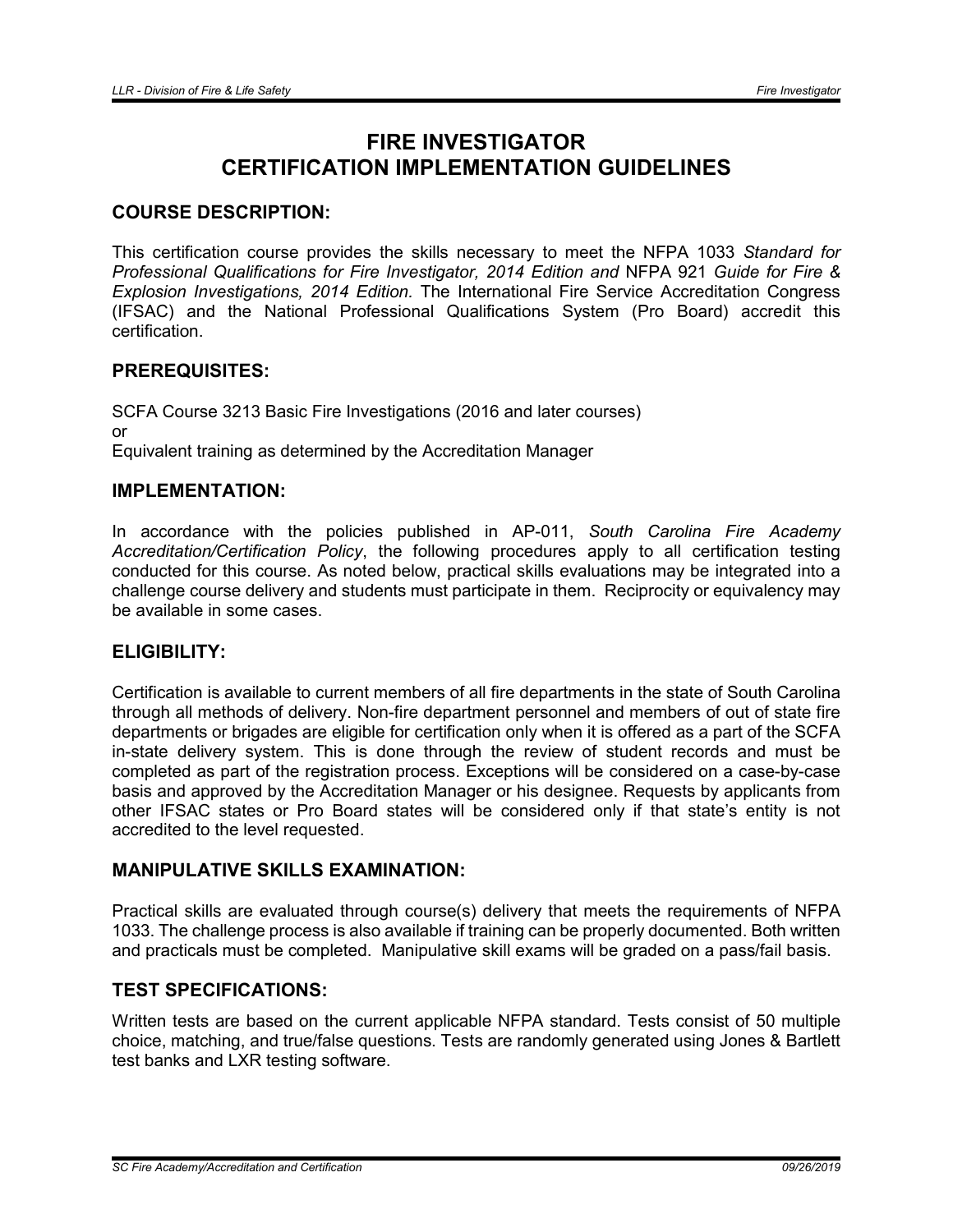# FIRE INVESTIGATOR CERTIFICATION IMPLEMENTATION GUIDELINES

# COURSE DESCRIPTION:

This certification course provides the skills necessary to meet the NFPA 1033 *Standard for Professional Qualifications for Fire Investigator, 2014 Edition and* NFPA 921 *Guide for Fire & Explosion Investigations, 2014 Edition.* The International Fire Service Accreditation Congress (IFSAC) and the National Professional Qualifications System (Pro Board) accredit this certification.

# PREREQUISITES:

SCFA Course 3213 Basic Fire Investigations (2016 and later courses) or Equivalent training as determined by the Accreditation Manager

## IMPLEMENTATION:

In accordance with the policies published in AP-011, *South Carolina Fire Academy Accreditation/Certification Policy*, the following procedures apply to all certification testing conducted for this course. As noted below, practical skills evaluations may be integrated into a challenge course delivery and students must participate in them. Reciprocity or equivalency may be available in some cases.

# ELIGIBILITY:

Certification is available to current members of all fire departments in the state of South Carolina through all methods of delivery. Non-fire department personnel and members of out of state fire departments or brigades are eligible for certification only when it is offered as a part of the SCFA in-state delivery system. This is done through the review of student records and must be completed as part of the registration process. Exceptions will be considered on a case-by-case basis and approved by the Accreditation Manager or his designee. Requests by applicants from other IFSAC states or Pro Board states will be considered only if that state's entity is not accredited to the level requested.

# MANIPULATIVE SKILLS EXAMINATION:

Practical skills are evaluated through course(s) delivery that meets the requirements of NFPA 1033. The challenge process is also available if training can be properly documented. Both written and practicals must be completed. Manipulative skill exams will be graded on a pass/fail basis.

#### TEST SPECIFICATIONS:

Written tests are based on the current applicable NFPA standard. Tests consist of 50 multiple choice, matching, and true/false questions. Tests are randomly generated using Jones & Bartlett test banks and LXR testing software.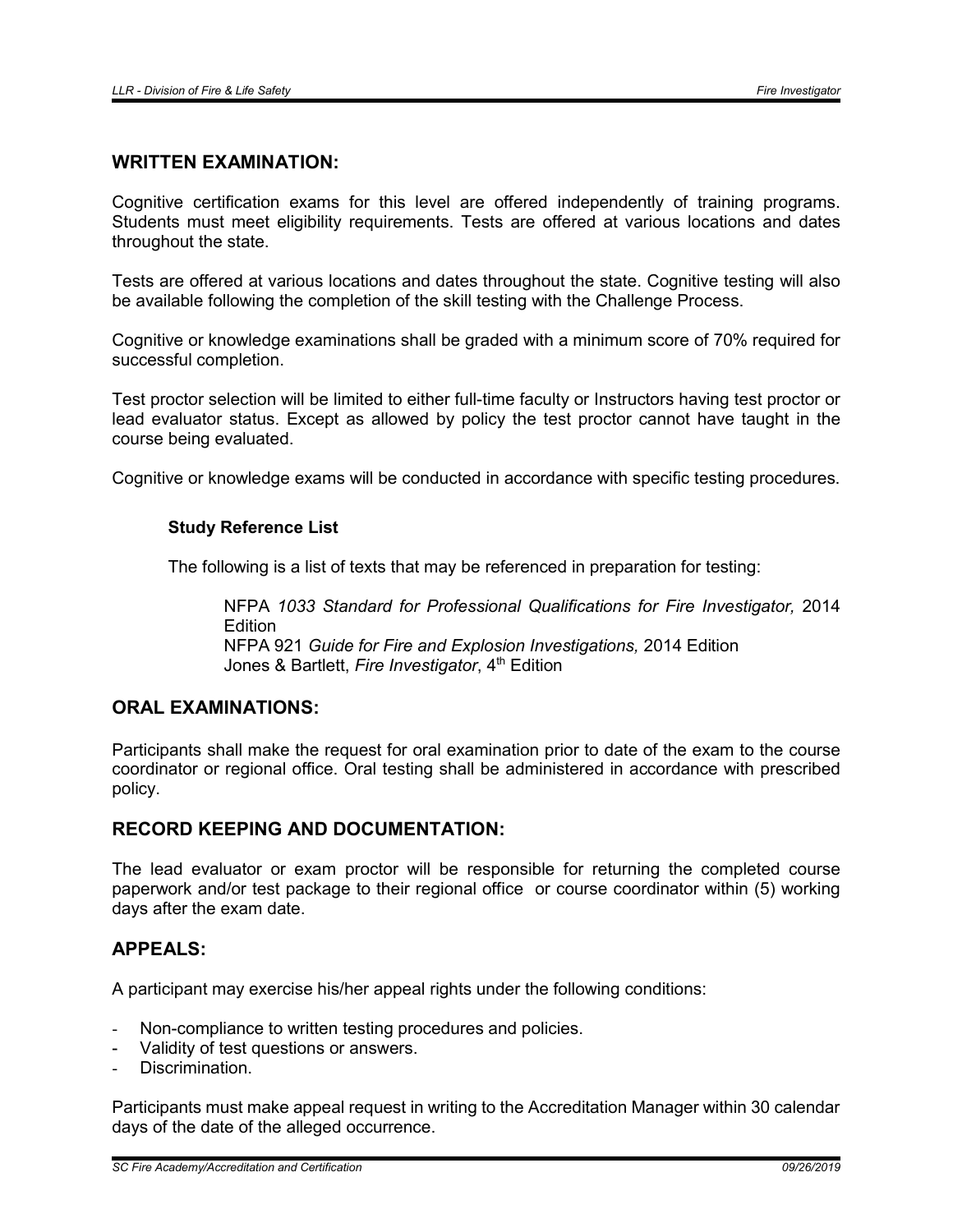# WRITTEN EXAMINATION:

Cognitive certification exams for this level are offered independently of training programs. Students must meet eligibility requirements. Tests are offered at various locations and dates throughout the state.

Tests are offered at various locations and dates throughout the state. Cognitive testing will also be available following the completion of the skill testing with the Challenge Process.

Cognitive or knowledge examinations shall be graded with a minimum score of 70% required for successful completion.

Test proctor selection will be limited to either full-time faculty or Instructors having test proctor or lead evaluator status. Except as allowed by policy the test proctor cannot have taught in the course being evaluated.

Cognitive or knowledge exams will be conducted in accordance with specific testing procedures.

#### Study Reference List

The following is a list of texts that may be referenced in preparation for testing:

NFPA *1033 Standard for Professional Qualifications for Fire Investigator,* 2014 **Edition** NFPA 921 *Guide for Fire and Explosion Investigations,* 2014 Edition Jones & Bartlett, *Fire Investigator*, 4<sup>th</sup> Edition

## ORAL EXAMINATIONS:

Participants shall make the request for oral examination prior to date of the exam to the course coordinator or regional office. Oral testing shall be administered in accordance with prescribed policy.

#### RECORD KEEPING AND DOCUMENTATION:

The lead evaluator or exam proctor will be responsible for returning the completed course paperwork and/or test package to their regional office or course coordinator within (5) working days after the exam date.

### APPEALS:

A participant may exercise his/her appeal rights under the following conditions:

- Non-compliance to written testing procedures and policies.
- Validity of test questions or answers.
- Discrimination.

Participants must make appeal request in writing to the Accreditation Manager within 30 calendar days of the date of the alleged occurrence.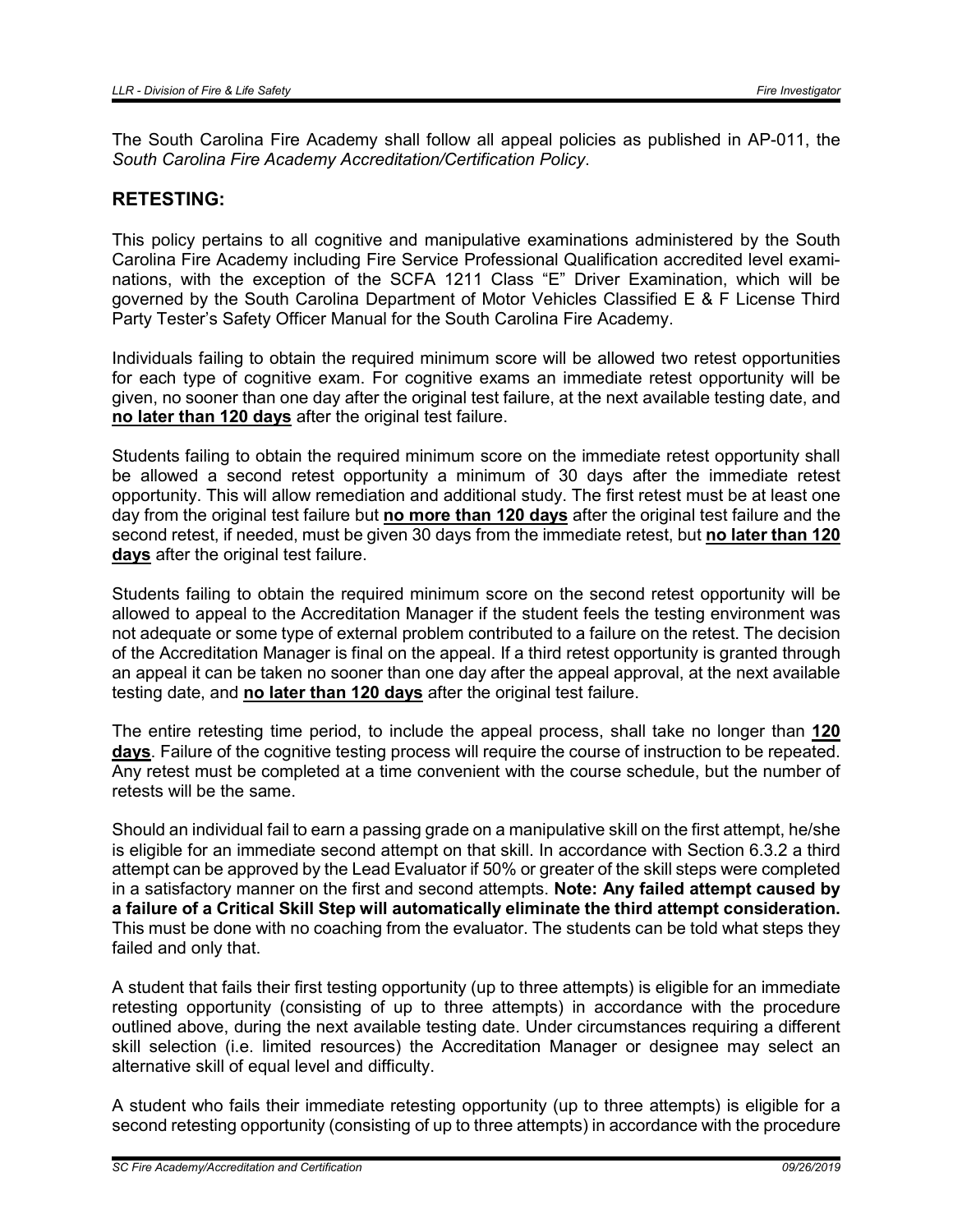The South Carolina Fire Academy shall follow all appeal policies as published in AP-011, the *South Carolina Fire Academy Accreditation/Certification Policy*.

## RETESTING:

This policy pertains to all cognitive and manipulative examinations administered by the South Carolina Fire Academy including Fire Service Professional Qualification accredited level examinations, with the exception of the SCFA 1211 Class "E" Driver Examination, which will be governed by the South Carolina Department of Motor Vehicles Classified E & F License Third Party Tester's Safety Officer Manual for the South Carolina Fire Academy.

Individuals failing to obtain the required minimum score will be allowed two retest opportunities for each type of cognitive exam. For cognitive exams an immediate retest opportunity will be given, no sooner than one day after the original test failure, at the next available testing date, and no later than 120 days after the original test failure.

Students failing to obtain the required minimum score on the immediate retest opportunity shall be allowed a second retest opportunity a minimum of 30 days after the immediate retest opportunity. This will allow remediation and additional study. The first retest must be at least one day from the original test failure but no more than 120 days after the original test failure and the second retest, if needed, must be given 30 days from the immediate retest, but no later than 120 days after the original test failure.

Students failing to obtain the required minimum score on the second retest opportunity will be allowed to appeal to the Accreditation Manager if the student feels the testing environment was not adequate or some type of external problem contributed to a failure on the retest. The decision of the Accreditation Manager is final on the appeal. If a third retest opportunity is granted through an appeal it can be taken no sooner than one day after the appeal approval, at the next available testing date, and no later than 120 days after the original test failure.

The entire retesting time period, to include the appeal process, shall take no longer than 120 days. Failure of the cognitive testing process will require the course of instruction to be repeated. Any retest must be completed at a time convenient with the course schedule, but the number of retests will be the same.

Should an individual fail to earn a passing grade on a manipulative skill on the first attempt, he/she is eligible for an immediate second attempt on that skill. In accordance with Section 6.3.2 a third attempt can be approved by the Lead Evaluator if 50% or greater of the skill steps were completed in a satisfactory manner on the first and second attempts. Note: Any failed attempt caused by a failure of a Critical Skill Step will automatically eliminate the third attempt consideration. This must be done with no coaching from the evaluator. The students can be told what steps they failed and only that.

A student that fails their first testing opportunity (up to three attempts) is eligible for an immediate retesting opportunity (consisting of up to three attempts) in accordance with the procedure outlined above, during the next available testing date. Under circumstances requiring a different skill selection (i.e. limited resources) the Accreditation Manager or designee may select an alternative skill of equal level and difficulty.

A student who fails their immediate retesting opportunity (up to three attempts) is eligible for a second retesting opportunity (consisting of up to three attempts) in accordance with the procedure